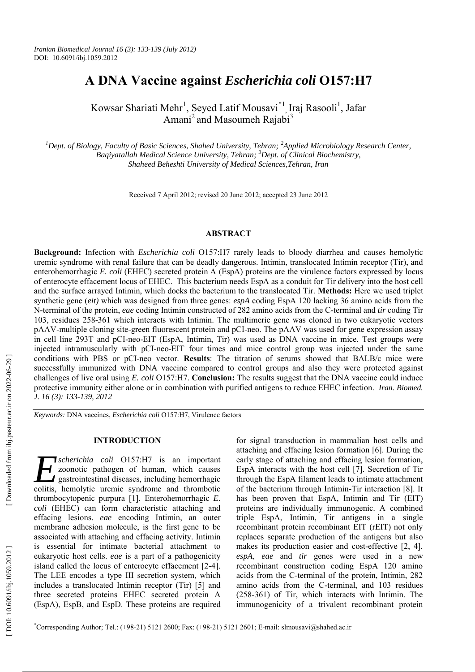# **A DNA Vaccine against** *Escherichia coli* **O157:H7**

Kowsar Shariati Mehr<sup>1</sup>, Seyed Latif Mousavi<sup>\*1</sup>, Iraj Rasooli<sup>1</sup>, Jafar Amani<sup>2</sup> and Masoumeh Rajabi<sup>3</sup>

<sup>1</sup>Dept. of Biology, Faculty of Basic Sciences, Shahed University, Tehran; <sup>2</sup>Applied Microbiology Research Center, *Baqiyatallah Medical Science University, Tehran; 3 Dept. of Clinical Biochemistry, Shaheed Beheshti University of Medical Sciences,Tehran, Iran*

Received 7 April 2012; revised 20 June 2012; accepted 23 June 2012

## **ABSTRACT**

**Background:** Infection with *Escherichia coli* O157:H7 rarely leads to bloody diarrhea and causes hemolytic uremic syndrome with renal failure that can be deadly dangerous. Intimin, translocated Intimin receptor (Tir), and enterohemorrhagic *E. coli* (EHEC) secreted protein A (EspA) proteins are the virulence factors expressed by locus of enterocyte effacement locus of EHEC. This bacterium needs EspA as a conduit for Tir delivery into the host cell and the surface arrayed Intimin, which docks the bacterium to the translocated Tir. **Methods:** Here we used triplet synthetic gene (*eit)* which was designed from three genes: *espA* coding EspA 120 lacking 36 amino acids from the N-terminal of the protein, *eae* coding Intimin constructed of 282 amino acids from the C-terminal and *tir* coding Tir 103, residues 258-361 which interacts with Intimin. The multimeric gene was cloned in two eukaryotic vectors pAAV-multiple cloning site-green fluorescent protein and pCI-neo. The pAAV was used for gene expression assay in cell line 293T and pCI-neo-EIT (EspA, Intimin, Tir) was used as DNA vaccine in mice. Test groups were injected intramuscularly with pCI-neo-EIT four times and mice control group was injected under the same conditions with PBS or pCI-neo vector. **Results**: The titration of serums showed that BALB/c mice were successfully immunized with DNA vaccine compared to control groups and also they were protected against challenges of live oral using *E. coli* O157:H7. **Conclusion:** The results suggest that the DNA vaccine could induce protective immunity either alone or in combination with purified antigens to reduce EHEC infection. *Iran. Biomed. J. 16 (3): 133-139, 2012*

*Keywords:* DNA vaccines, *Escherichia coli* O157:H7, Virulence factors

# **INTRODUCTION**

*scherichia coli* O157:H7 is an important zoonotic pathogen of human, which causes *Excherichia coli* O157:H7 is an important proportional diseases, including hemorrhagic colitis hemolytic uremic syndrome and thrombotic colitis, hemolytic uremic syndrome and thrombotic thrombocytopenic purpura [1]. Enterohemorrhagic *E. coli* (EHEC) can form characteristic attaching and effacing lesions. *eae* encoding Intimin, an outer membrane adhesion molecule, is the first gene to be associated with attaching and effacing activity. Intimin is essential for intimate bacterial attachment to eukaryotic host cells. *eae* is a part of a pathogenicity island called the locus of enterocyte effacement [2-4]. The LEE encodes a type III secretion system, which includes a translocated Intimin receptor (Tir) [5] and three secreted proteins EHEC secreted protein A (EspA), EspB, and EspD. These proteins are required

for signal transduction in mammalian host cells and attaching and effacing lesion formation [6]. During the early stage of attaching and effacing lesion formation, EspA interacts with the host cell [7]. Secretion of Tir through the EspA filament leads to intimate attachment of the bacterium through Intimin-Tir interaction [8]. It has been proven that EspA, Intimin and Tir (EIT) proteins are individually immunogenic. A combined triple EspA, Intimin, Tir antigens in a single recombinant protein recombinant EIT (rEIT) not only replaces separate production of the antigens but also makes its production easier and cost-effective [2, 4]. *espA*, *eae* and *tir* genes were used in a new recombinant construction coding EspA 120 amino acids from the C-terminal of the protein, Intimin, 282 amino acids from the C-terminal, and 103 residues (258-361) of Tir, which interacts with Intimin. The immunogenicity of a trivalent recombinant protein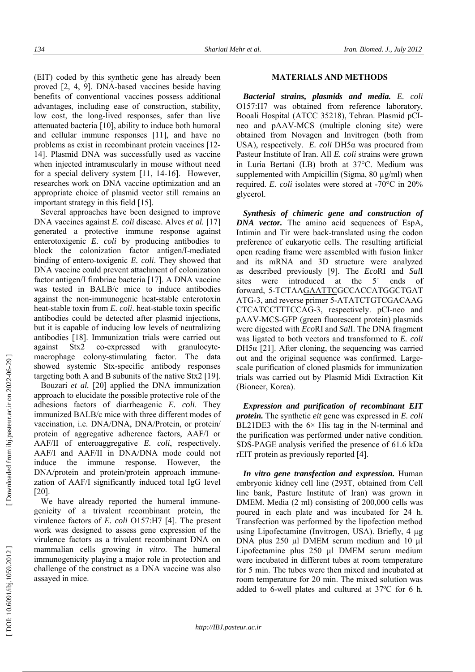(EIT) coded by this synthetic gene has already been proved [2, 4, 9]. DNA-based vaccines beside having benefits of conventional vaccines possess additional advantages, including ease of construction, stability, low cost, the long-lived responses, safer than live attenuated bacteria [10], ability to induce both humoral and cellular immune responses [11], and have no problems as exist in recombinant protein vaccines [12- 14]. Plasmid DNA was successfully used as vaccine when injected intramuscularly in mouse without need for a special delivery system [11, 14-16]. However, researches work on DNA vaccine optimization and an appropriate choice of plasmid vector still remains an important strategy in this field [15].

Several approaches have been designed to improve DNA vaccines against *E. coli* disease. Alves *et al.* [17] generated a protective immune response against enterotoxigenic *E. coli* by producing antibodies to block the colonization factor antigen/I-mediated binding of entero-toxigenic *E. coli*. They showed that DNA vaccine could prevent attachment of colonization factor antigen/I fimbriae bacteria [17]. A DNA vaccine was tested in BALB/c mice to induce antibodies against the non-immunogenic heat-stable enterotoxin heat-stable toxin from *E. coli*. heat-stable toxin specific antibodies could be detected after plasmid injections, but it is capable of inducing low levels of neutralizing antibodies [18]. Immunization trials were carried out against Stx2 co-expressed with granulocytemacrophage colony-stimulating factor. The data showed systemic Stx-specific antibody responses targeting both A and B subunits of the native Stx2 [19].

Bouzari *et al.* [20] applied the DNA immunization approach to elucidate the possible protective role of the adhesions factors of diarrheagenic *E. coli*. They immunized BALB/c mice with three different modes of vaccination, i.e. DNA/DNA, DNA/Protein, or protein/ protein of aggregative adherence factors, AAF/I or AAF/II of enteroaggregative *E. coli*, respectively. AAF/I and AAF/II in DNA/DNA mode could not induce the immune response. However, the DNA/protein and protein/protein approach immunezation of AAF/I significantly induced total IgG level [20].

We have already reported the humeral immunegenicity of a trivalent recombinant protein, the virulence factors of *E. coli* O157:H7 [4]. The present work was designed to assess gene expression of the virulence factors as a trivalent recombinant DNA on mammalian cells growing *in vitro*. The humeral immunogenicity playing a major role in protection and challenge of the construct as a DNA vaccine was also assayed in mice.

## **MATERIALS AND METHODS**

*Bacterial strains, plasmids and media. E. coli* O157:H7 was obtained from reference laboratory, Booali Hospital (ATCC 35218), Tehran. Plasmid pCIneo and pAAV-MCS (multiple cloning site) were obtained from Novagen and Invitrogen (both from USA), respectively. *E. coli* DH5α was procured from Pasteur Institute of Iran. All *E. coli* strains were grown in Luria Bertani (LB) broth at 37 C. Medium was supplemented with Ampicillin (Sigma,  $80 \mu g/ml$ ) when required. *E. coli* isolates were stored at -70°C in 20% glycerol.

*Synthesis of chimeric gene and construction of DNA vector.* The amino acid sequences of EspA, Intimin and Tir were back-translated using the codon preference of eukaryotic cells. The resulting artificial open reading frame were assembled with fusion linker and its mRNA and 3D structure were analyzed as described previously [9]. The *Eco*RI and *Sal*I sites were introduced at the 5<sup>'</sup> ends of forward, 5-TCTAAGAATTCGCCACCATGGCTGAT ATG-3, and reverse primer 5-ATATCTGTCGACAAG CTCATCCTTTCCAG-3, respectively. pCI-neo and pAAV-MCS-GFP (green fluorescent protein) plasmids were digested with *Eco*RI and *Sal*I. The DNA fragment was ligated to both vectors and transformed to *E. coli* DH5 $α$  [21]. After cloning, the sequencing was carried out and the original sequence was confirmed. Largescale purification of cloned plasmids for immunization trials was carried out by Plasmid Midi Extraction Kit (Bioneer, Korea).

*Expression and purification of recombinant EIT protein.* The synthetic *eit* gene was expressed in *E. coli* BL21DE3 with the  $6\times$  His tag in the N-terminal and the purification was performed under native condition. SDS-PAGE analysis verified the presence of 61.6 kDa rEIT protein as previously reported [4].

*In vitro gene transfection and expression.* Human embryonic kidney cell line (293T, obtained from Cell line bank, Pasture Institute of Iran) was grown in DMEM. Media (2 ml) consisting of 200,000 cells was poured in each plate and was incubated for 24 h. Transfection was performed by the lipofection method using Lipofectamine (Invitrogen, USA). Briefly, 4 µg DNA plus 250 µl DMEM serum medium and 10 µl Lipofectamine plus 250 µl DMEM serum medium were incubated in different tubes at room temperature for 5 min. The tubes were then mixed and incubated at room temperature for 20 min. The mixed solution was added to 6-well plates and cultured at 37ºC for 6 h.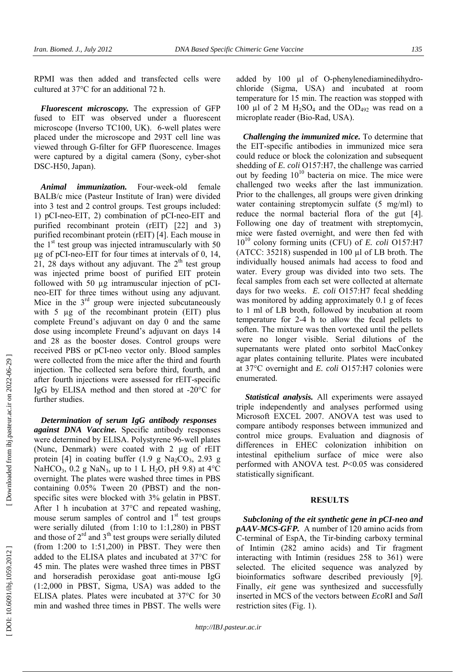RPMI was then added and transfected cells were cultured at 37 C for an additional 72 h.

*Fluorescent microscopy.* The expression of GFP fused to EIT was observed under a fluorescent microscope (Inverso TC100, UK). 6-well plates were placed under the microscope and 293T cell line was viewed through G-filter for GFP fluorescence. Images were captured by a digital camera (Sony, cyber-shot DSC-H50, Japan).

*Animal immunization.* Four-week-old female BALB/c mice (Pasteur Institute of Iran) were divided into 3 test and 2 control groups. Test groups included: 1) pCI-neo-EIT, 2) combination of pCI-neo-EIT and purified recombinant protein (rEIT) [22] and 3) purified recombinant protein (rEIT) [4]. Each mouse in the  $1<sup>st</sup>$  test group was injected intramuscularly with 50 µg of pCI-neo-EIT for four times at intervals of 0, 14, 21, 28 days without any adjuvant. The  $2<sup>th</sup>$  test group was injected prime boost of purified EIT protein followed with 50 µg intramuscular injection of pCIneo-EIT for three times without using any adjuvant. Mice in the  $3<sup>rd</sup>$  group were injected subcutaneously with 5 µg of the recombinant protein (EIT) plus complete Freund's adjuvant on day 0 and the same dose using incomplete Freund's adjuvant on days 14 and 28 as the booster doses. Control groups were received PBS or pCI-neo vector only. Blood samples were collected from the mice after the third and fourth injection. The collected sera before third, fourth, and after fourth injections were assessed for rEIT-specific IgG by ELISA method and then stored at -20 C for further studies.

*Determination of serum IgG antibody responses against DNA Vaccine.* Specific antibody responses were determined by ELISA. Polystyrene 96-well plates (Nunc, Denmark) were coated with 2 µg of rEIT protein [4] in coating buffer  $(1.9 \text{ g } Na<sub>2</sub>CO<sub>3</sub>, 2.93 \text{ g})$ NaHCO<sub>3</sub>, 0.2 g NaN<sub>3</sub>, up to 1 L H<sub>2</sub>O, pH 9.8) at 4<sup>o</sup>C overnight. The plates were washed three times in PBS containing 0.05% Tween 20 (PBST) and the nonspecific sites were blocked with 3% gelatin in PBST. After 1 h incubation at 37 C and repeated washing, mouse serum samples of control and  $1<sup>st</sup>$  test groups were serially diluted (from 1:10 to 1:1,280) in PBST and those of  $2^{rd}$  and  $3^{th}$  test groups were serially diluted (from  $1:200$  to  $1:51,200$ ) in PBST. They were then added to the ELISA plates and incubated at 37 C for 45 min. The plates were washed three times in PBST and horseradish peroxidase goat anti-mouse IgG (1:2,000 in PBST, Sigma, USA) was added to the ELISA plates. Plates were incubated at 37 C for 30 min and washed three times in PBST. The wells were

added by 100 µl of O-phenylenediaminedihydrochloride (Sigma, USA) and incubated at room temperature for 15 min. The reaction was stopped with 100 µl of 2 M  $H_2SO_4$  and the  $OD_{492}$  was read on a microplate reader (Bio-Rad, USA).

*Challenging the immunized mice.* To determine that the EIT-specific antibodies in immunized mice sera could reduce or block the colonization and subsequent shedding of *E. coli* O157:H7, the challenge was carried out by feeding  $10^{10}$  bacteria on mice. The mice were challenged two weeks after the last immunization. Prior to the challenges, all groups were given drinking water containing streptomycin sulfate (5 mg/ml) to reduce the normal bacterial flora of the gut [4]. Following one day of treatment with streptomycin, mice were fasted overnight, and were then fed with 10<sup>10</sup> colony forming units (CFU) of *E. coli* O157:H7 (ATCC: 35218) suspended in 100 µl of LB broth. The individually housed animals had access to food and water. Every group was divided into two sets. The fecal samples from each set were collected at alternate days for two weeks. *E. coli* O157:H7 fecal shedding was monitored by adding approximately 0.1 g of feces to 1 ml of LB broth, followed by incubation at room temperature for 2-4 h to allow the fecal pellets to soften. The mixture was then vortexed until the pellets were no longer visible. Serial dilutions of the supernatants were plated onto sorbitol MacConkey agar plates containing tellurite. Plates were incubated at 37 C overnight and *E. coli* O157:H7 colonies were enumerated.

*Statistical analysis.* All experiments were assayed triple independently and analyses performed using Microsoft EXCEL 2007. ANOVA test was used to compare antibody responses between immunized and control mice groups. Evaluation and diagnosis of differences in EHEC colonization inhibition on intestinal epithelium surface of mice were also performed with ANOVA test. *P*<0.05 was considered statistically significant.

#### **RESULTS**

*Subcloning of the eit synthetic gene in pCI-neo and pAAV-MCS-GFP.* A number of 120 amino acids from C-terminal of EspA, the Tir-binding carboxy terminal of Intimin (282 amino acids) and Tir fragment interacting with Intimin (residues 258 to 361) were selected. The elicited sequence was analyzed by bioinformatics software described previously [9]. Finally, *eit* gene was synthesized and successfully inserted in MCS of the vectors between *Eco*RI and *Sal*I restriction sites (Fig. 1).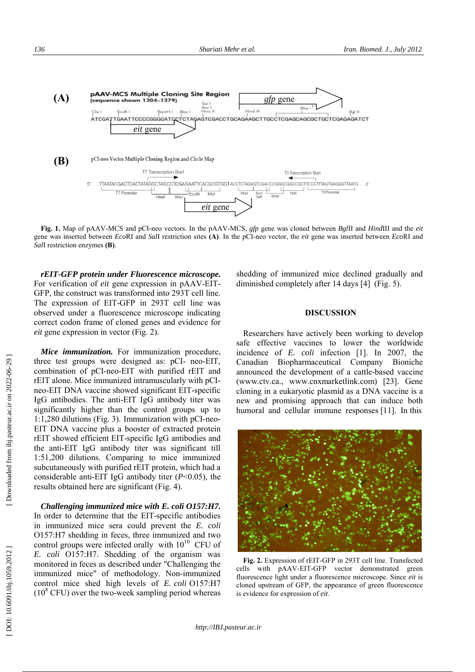

**Fig. 1.** Map of pAAV-MCS and pCI-neo vectors. In the pAAV-MCS, *gfp* gene was cloned between *Bgl*II and *Hind*III and the *eit* gene was inserted between *Eco*RI and *Sal*I restriction sites **(A)**. In the pCI-neo vector, the *eit* gene was inserted between *Eco*RI and *Sal*I restriction enzymes **(B)** .

*rEIT-GFP protein under Fluorescence microscope.*  For verification of *eit* gene expression in pAAV-EIT-GFP, the construct was transformed into 293T cell line. The expression of EIT-GFP in 293T cell line was observed under a fluorescence microscope indicating correct codon frame of cloned genes and evidence for *eit* gene expression in vector (Fig. 2).

*Mice immunization.* For immunization procedure, three test groups were designed as: pCI- neo-EIT, combination of pCI-neo-EIT with purified rEIT and rEIT alone. Mice immunized intramuscularly with pCIneo-EIT DNA vaccine showed significant EIT-specific IgG antibodies. The anti-EIT IgG antibody titer was significantly higher than the control groups up to 1:1,280 dilutions (Fig. 3). Immunization with pCI-neo-EIT DNA vaccine plus a booster of extracted protein rEIT showed efficient EIT-specific IgG antibodies and the anti-EIT IgG antibody titer was significant till 1:51,200 dilutions. Comparing to mice immunized subcutaneously with purified rEIT protein, which had a considerable anti-EIT IgG antibody titer ( *P*<0.05), the results obtained here are significant (Fig. 4).

*Challenging immunized mice with E. coli O157:H7.*  In order to determine that the EIT-specific antibodies in immunized mice sera could prevent the *E. coli*  O157:H7 shedding in feces, three immunized and two control groups were infected orally with  $10^{10}$  CFU of *E. coli* O157:H7. Shedding of the organism was monitored in feces as described under "Challenging the immunized mice" of methodology. Non-immunized control mice shed high levels of *E. coli* O157:H7  $(10<sup>8</sup> CFU)$  over the two-week sampling period whereas shedding of immunized mice declined gradually and diminished completely after 14 days [4] (Fig. 5).

# **DISCUSSION**

Researchers have actively been working to develop safe effective vaccines to lower the worldwide incidence of *E. coli* infection [1]. In 2007, the Canadian Biopharmaceutical Company Bioniche announced the development of a cattle-based vaccine (www.ctv.ca., www.cnxmarketlink.com) [23]. Gene cloning in a eukaryotic plasmid as a DNA vaccine is a new and promising approach that can induce both humoral and cellular immune responses [11]. In this



**Fig. 2.** Expression of rEIT-GFP in 293T cell line. Transfected cells with pAAV-EIT-GFP vector demonstrated green fluorescence light under a fluorescence microscope. Since *eit* is cloned upstream of GFP, the appearance of green fluorescence is evidence for expression of *eit* .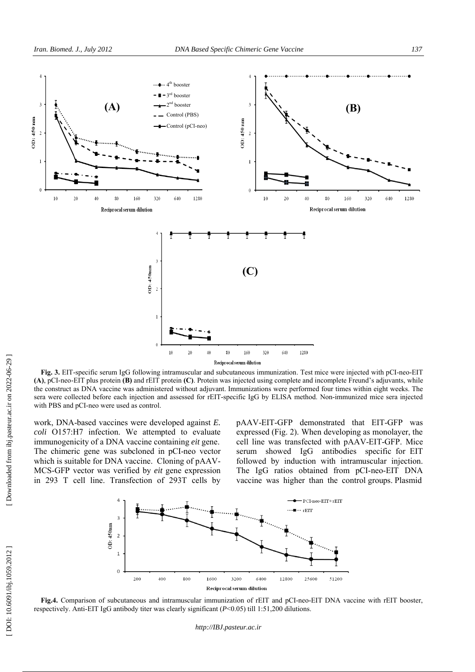

**Fig. 3.** EIT-specific serum IgG following intramuscular and subcutaneous immunization. Test mice were injected with pCI-neo-EIT **(A)**, pCI-neo-EIT plus protein **(B)** and rEIT protein **(C)**. Protein was injected using complete and incomplete Freund's adjuvants, while the construct as DNA vaccine was administered without adjuvant. Immunizations were performed four times within eight weeks. The sera were collected before each injection and assessed for rEIT-specific IgG by ELISA method. Non-immunized mice sera injected with PBS and pCI-neo were used as control.

work, DNA-based vaccines were developed against *E. coli* O157:H7 infection. We attempted to evaluate immunogenicity of a DNA vaccine containing *eit* gene. The chimeric gene was subcloned in pCI-neo vector which is suitable for DNA vaccine. Cloning of pAAV-MCS-GFP vector was verified by *eit* gene expression in 293 T cell line. Transfection of 293T cells by pAAV-EIT-GFP demonstrated that EIT-GFP was expressed (Fig. 2). When developing as monolayer, the cell line was transfected with pAAV-EIT-GFP. Mice serum showed IgG antibodies specific for EIT followed by induction with intramuscular injection. The IgG ratios obtained from pCI-neo-EIT DNA vaccine was higher than the control groups. Plasmid



**Fig.4.** Comparison of subcutaneous and intramuscular immunization of rEIT and pCI-neo-EIT DNA vaccine with rEIT booster, respectively. Anti-EIT IgG antibody titer was clearly significant ( *P*<0.05) till 1:51,200 dilutions.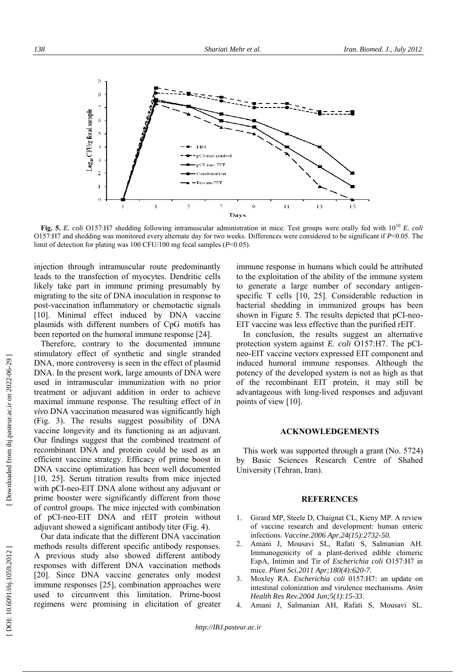

Fig. 5. *E. coli* O157:H7 shedding following intramuscular administration in mice. Test groups were orally fed with  $10^{10}$  *E. coli* O157:H7 and shedding was monitored every alternate day for two weeks. Differences were considered to be significant if *P*<0.05. The limit of detection for plating was 100 CFU/100 mg fecal samples ( *P*<0.05).

injection through intramuscular route predominantly leads to the transfection of myocytes. Dendritic cells likely take part in immune priming presumably by migrating to the site of DNA inoculation in response to post-vaccination inflammatory or chemotactic signals [10]. Minimal effect induced by DNA vaccine plasmids with different numbers of CpG motifs has been reported on the humoral immune response [24].

Therefore, contrary to the documented immune stimulatory effect of synthetic and single stranded DNA, more controversy is seen in the effect of plasmid DNA. In the present work, large amounts of DNA were used in intramuscular immunization with no prior treatment or adjuvant addition in order to achieve maximal immune response. The resulting effect of *in vivo* DNA vaccination measured was significantly high (Fig. 3). The results suggest possibility of DNA vaccine longevity and its functioning as an adjuvant. Our findings suggest that the combined treatment of recombinant DNA and protein could be used as an efficient vaccine strategy. Efficacy of prime boost in DNA vaccine optimization has been well documented [10, 25]. Serum titration results from mice injected with pCI-neo-EIT DNA alone without any adjuvant or prime booster were significantly different from those of control groups. The mice injected with combination of pCI-neo-EIT DNA and rEIT protein without adjuvant showed a significant antibody titer (Fig. 4).

Our data indicate that the different DNA vaccination methods results different specific antibody responses. A previous study also showed different antibody responses with different DNA vaccination methods [20]. Since DNA vaccine generates only modest immune responses [25], combination approaches were used to circumvent this limitation. Prime-boost regimens were promising in elicitation of greater immune response in humans which could be attributed to the exploitation of the ability of the immune system to generate a large number of secondary antigenspecific T cells [10, 25]. Considerable reduction in bacterial shedding in immunized groups has been shown in Figure 5. The results depicted that pCI-neo-EIT vaccine was less effective than the purified rEIT.

In conclusion, the results suggest an alternative protection system against *E. coli* O157:H7. The pCIneo-EIT vaccine vectors expressed EIT component and induced humoral immune responses. Although the potency of the developed system is not as high as that of the recombinant EIT protein, it may still be advantageous with long-lived responses and adjuvant points of view [10].

## **ACKNOWLEDGEMENTS**

This work was supported through a grant (No. 5724) by Basic Sciences Research Centre of Shahed University (Tehran, Iran).

#### **REFERENCES**

- 1. Girard MP, Steele D, Chaignat CL, Kieny MP. A review of vaccine research and development: human enteric infections. *Vaccine.2006 Apr.24(15):2732-50.*
- 2. Amani J, Mousavi SL, Rafati S, Salmanian AH. Immunogenicity of a plant-derived edible chimeric EspA, Intimin and Tir of *Escherichia coli* O157:H7 in mice. *Plant Sci.2011 Apr;180(4):620-7.*
- 3. Moxley RA. *Escherichia coli* 0157:H7: an update on intestinal colonization and virulence mechanisms. *Anim Health Res Rev.2004 Jun;5(1):15-33* .
- 4. Amani J, Salmanian AH, Rafati S, Mousavi SL.